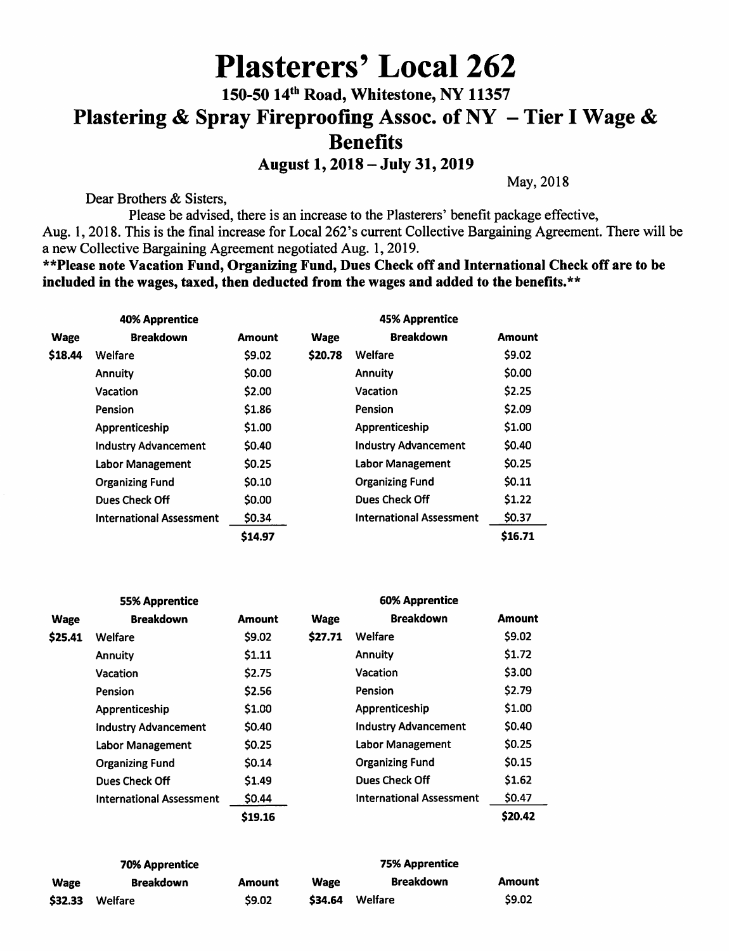# Plasterers' Local 262 150-50 14<sup>th</sup> Road, Whitestone, NY 11357 Plastering & Spray Fireproofing Assoc. of NY - Tier I Wage & Benefits

August 1,2018 - July 31,2019

May, 2018

Dear Brothers & Sisters,

Please be advised, there is an increase to the Plasterers' benefit package effective, Aug. 1, 2018. This is the final increase for Local 262's current Collective Bargaining Agreement. There will be a new Collective Bargaining Agreement negotiated Aug. 1, 2019.

\*\*Please note Vacation Fund, Organizing Fund, Dues Check off and International Check off are to be included in the wages, taxed, then deducted from the wages and added to the benefits. $**$ 

| <b>40% Apprentice</b> |                                 |               | <b>45% Apprentice</b> |                                 |               |
|-----------------------|---------------------------------|---------------|-----------------------|---------------------------------|---------------|
| Wage                  | <b>Breakdown</b>                | <b>Amount</b> | <b>Wage</b>           | <b>Breakdown</b>                | <b>Amount</b> |
| \$18.44               | Welfare                         | \$9.02        | \$20.78               | Welfare                         | \$9.02        |
|                       | Annuity                         | \$0.00        |                       | <b>Annuity</b>                  | \$0.00        |
|                       | Vacation                        | \$2.00        |                       | Vacation                        | \$2.25        |
|                       | Pension                         | \$1.86        |                       | Pension                         | \$2.09        |
|                       | Apprenticeship                  | \$1.00        |                       | Apprenticeship                  | \$1.00        |
|                       | <b>Industry Advancement</b>     | \$0.40        |                       | <b>Industry Advancement</b>     | <b>SO.40</b>  |
|                       | Labor Management                | \$0.25        |                       | <b>Labor Management</b>         | \$0.25        |
|                       | <b>Organizing Fund</b>          | \$0.10        |                       | <b>Organizing Fund</b>          | 50.11         |
|                       | Dues Check Off                  | \$0.00        |                       | Dues Check Off                  | \$1.22        |
|                       | <b>International Assessment</b> | \$0.34        |                       | <b>International Assessment</b> | \$0.37        |
|                       |                                 | \$14.97       |                       |                                 | \$16.71       |

| <b>55% Apprentice</b> |                                 |               | <b>60% Apprentice</b> |                                 |               |
|-----------------------|---------------------------------|---------------|-----------------------|---------------------------------|---------------|
| <b>Wage</b>           | <b>Breakdown</b>                | <b>Amount</b> | <b>Wage</b>           | <b>Breakdown</b>                | <b>Amount</b> |
| \$25.41               | Welfare                         | \$9.02        | \$27.71               | Welfare                         | \$9.02        |
|                       | <b>Annuity</b>                  | \$1.11        |                       | <b>Annuity</b>                  | \$1.72        |
|                       | Vacation                        | \$2.75        |                       | Vacation                        | \$3.00        |
|                       | Pension                         | \$2.56        |                       | Pension                         | \$2.79        |
|                       | Apprenticeship                  | \$1.00        |                       | Apprenticeship                  | \$1.00        |
|                       | <b>Industry Advancement</b>     | \$0.40        |                       | <b>Industry Advancement</b>     | \$0.40        |
|                       | Labor Management                | \$0.25        |                       | Labor Management                | \$0.25        |
|                       | <b>Organizing Fund</b>          | \$0.14        |                       | <b>Organizing Fund</b>          | \$0.15        |
|                       | Dues Check Off                  | \$1.49        |                       | Dues Check Off                  | \$1.62        |
|                       | <b>International Assessment</b> | \$0.44        |                       | <b>International Assessment</b> | \$0.47        |
|                       |                                 | \$19.16       |                       |                                 | \$20.42       |

| <b>70% Apprentice</b> |                  |               | <b>75% Apprentice</b> |                  |               |
|-----------------------|------------------|---------------|-----------------------|------------------|---------------|
| <b>Wage</b>           | <b>Breakdown</b> | <b>Amount</b> | Wage                  | <b>Breakdown</b> | <b>Amount</b> |
| \$32.33               | Welfare          | \$9.02        | \$34.64               | Welfare          | \$9.02        |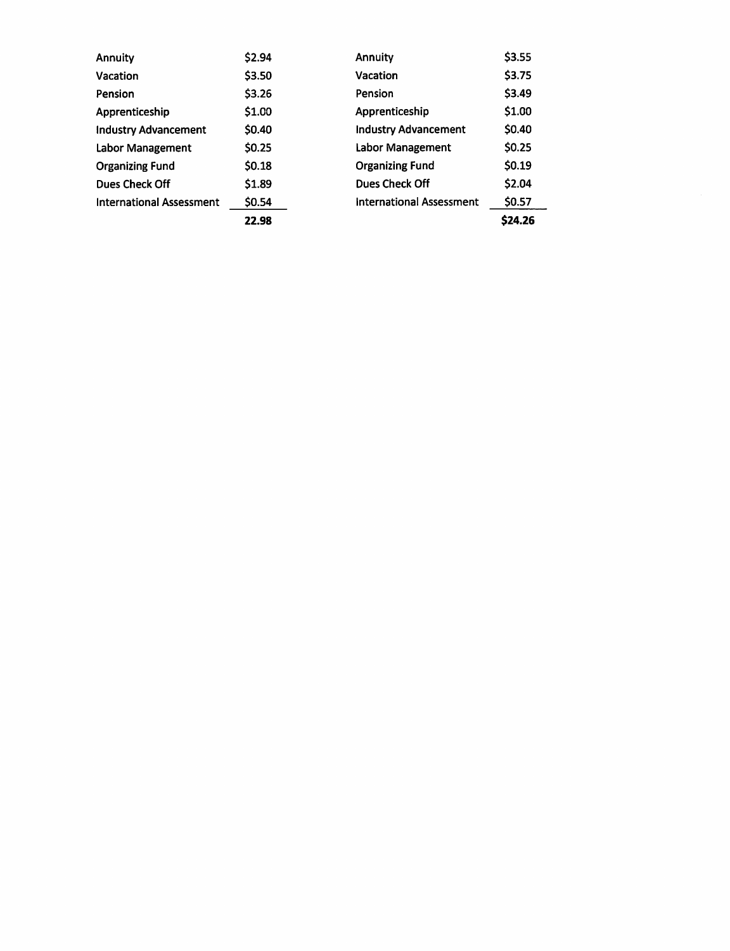| <b>Annuity</b>                  | \$2.94 | <b>Annuity</b>                  | \$3.55  |  |
|---------------------------------|--------|---------------------------------|---------|--|
| <b>Vacation</b>                 | \$3.50 | Vacation                        | \$3.75  |  |
| <b>Pension</b>                  | \$3.26 | Pension                         | \$3.49  |  |
| Apprenticeship                  | \$1.00 | Apprenticeship                  | \$1.00  |  |
| <b>Industry Advancement</b>     | \$0.40 | <b>Industry Advancement</b>     | \$0.40  |  |
| Labor Management                | \$0.25 | Labor Management                | \$0.25  |  |
| <b>Organizing Fund</b>          | \$0.18 | <b>Organizing Fund</b>          | \$0.19  |  |
| Dues Check Off                  | \$1.89 | Dues Check Off                  | \$2.04  |  |
| <b>International Assessment</b> | \$0.54 | <b>International Assessment</b> | \$0.57  |  |
|                                 | 22.98  |                                 | \$24.26 |  |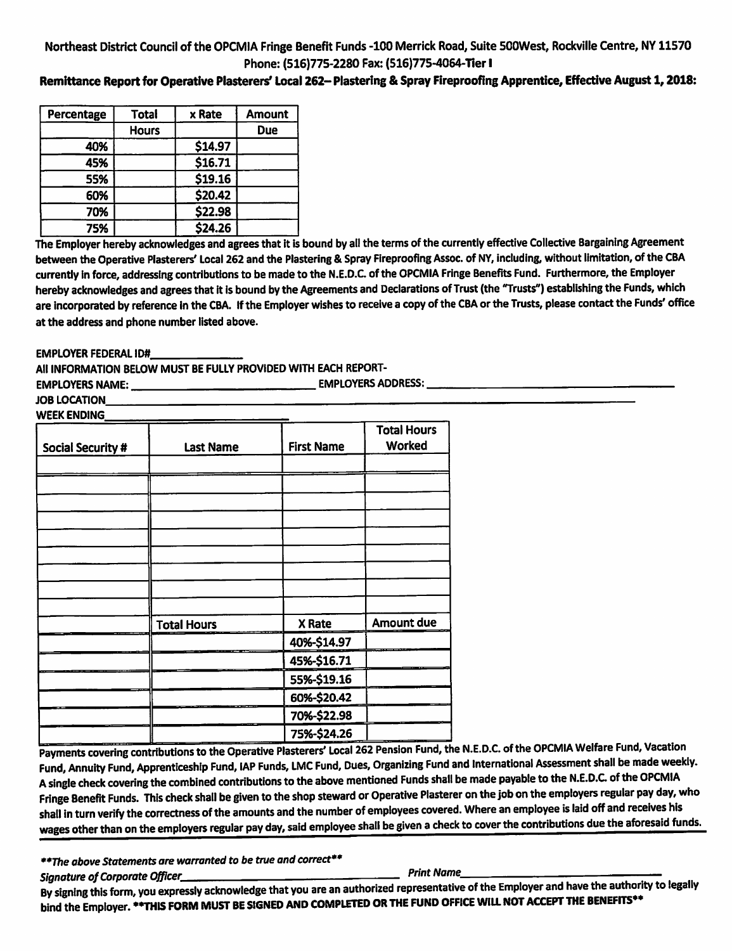### Northeast District Council of the OPCMIA Fringe Benefit Funds -100 Merrick Road, Suite SOOWest, Rockville Centre, NY 11570 Phone: (516)775-2280 Fax: (516)775-4084-Tier I

### Remittance Report for Operative Plasterers' Local 262-Plastering & Spray Fireproofing Apprentice, Effective August 1, 2018:

| Percentage | <b>Total</b> | x Rate  | <b>Amount</b> |
|------------|--------------|---------|---------------|
|            | <b>Hours</b> |         | <b>Due</b>    |
| 40%        |              | \$14.97 |               |
| 45%        |              | \$16.71 |               |
| 55%        |              | \$19.16 |               |
| 60%        |              | \$20.42 |               |
| 70%        |              | \$22.98 |               |
| 75%        |              | \$24.26 |               |

The Employer hereby acknowledges and agrees that it is bound by all the terms of the currently effective Collective Bargaining Agreement between the Operative Plasterers' Local 262 and the Plastering & Spray Fireproofing Assoc. of NY, including, without limitation, of the CBA currently in force, addressing contributions to be made to the N.E.D.C. of the OPCMIA Fringe Benefits Fund. Furthermore, the Employer hereby acknowledges and agrees that it is bound by the Agreements and Declarations of Trust (the "Trusts") establishing the Funds, which are incorporated by reference in the CBA. If the Employer wishes to receive a copy of the CBA or the Trusts, please contact the Funds' office at the address and phone number listed above.

EMPLOYER FEDERAL ID#

All INFORMATION BELOW MUST BE FULLY PROVIDED WITH EACH REPORT-

EMPLOYERS NAME:. EMPLOYERS ADDRESS:

JOB LOCATION **WEEK ENDING** 

| Social Security # | <b>Last Name</b>   | <b>First Name</b> | <b>Total Hours</b><br>Worked |
|-------------------|--------------------|-------------------|------------------------------|
|                   |                    |                   |                              |
|                   |                    |                   |                              |
|                   |                    |                   |                              |
|                   |                    |                   |                              |
|                   |                    |                   |                              |
|                   |                    |                   |                              |
|                   |                    |                   |                              |
|                   |                    |                   |                              |
|                   |                    |                   |                              |
|                   | <b>Total Hours</b> | X Rate            | Amount due                   |
|                   |                    | 40%-\$14.97       |                              |
|                   |                    | 45%-\$16.71       |                              |
|                   |                    | 55%-\$19.16       |                              |
|                   |                    | 60%-\$20.42       |                              |
|                   |                    | 70%-\$22.98       |                              |
|                   |                    | 75%-\$24.26       |                              |

Payments covering contributions to the Operative Plas Fund, Annuity Fund, Apprenticeship Fund, lAP Funds, LMC Fund, Dues, Organizing Fund and International Assessment shall be made weekly. A single check covering the combined contributions to the above mentioned Funds shall be made payable to the N.E.D.C of the OPCMIA Fringe Benefit Funds. This check shall be given to the shop steward or Operative Plasterer on the job on the employers regular pay day, who shall in turn verify the correctness of the amounts and the number of employees covered. Where an employee is laid off and receives his wages other than on the employers regular pay day, said employee shall be given a check to cover the contributions due the aforesaid funds.

\*\*The above Statements are warranted to be true and correct\*\*

Signature of Corporate Officer, Print Name By signing this form, you expressly acknowledge that you are an authorized representative of the authority of the Employer and Have the American contract the authority to legally the authority to legally the authority to l bind the Employer. \*\*THIS FORM MUST BE SIGNED AND COMPLETED OR THE FUND OFFICE WILL NOT ACCEPT THE BENEFITS\*\*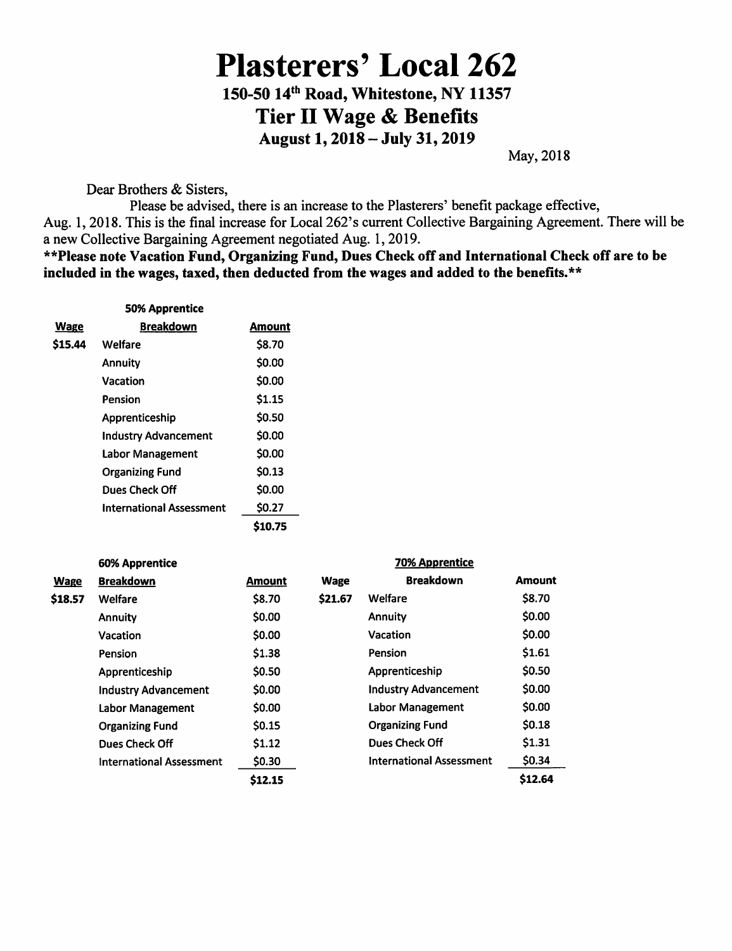## Plasterers' Local 262 150-50 14th Road, Whitestone, NY 11357

Tier II Wage & Benefits

August 1,2018 - July 31,2019

May, 2018

Dear Brothers & Sisters,

Please be advised, there is an increase to the Plasterers' benefit package effective, Aug. 1,2018. This is the final increase for Local 262's current Collective Bargaining Agreement. There will be a new Collective Bargaining Agreement negotiated Aug. 1,2019.

\*\*Please note Vacation Fund, Organizing Fund, Dues Check off and International Check off are to be included in the wages, taxed, then deducted from the wages and added to the benefits. $**$ 

|         | <b>50% Apprentice</b>           |               |
|---------|---------------------------------|---------------|
| Wage    | <b>Breakdown</b>                | Amount        |
| \$15.44 | Welfare                         | \$8.70        |
|         | Annuity                         | \$0.00        |
|         | Vacation                        | \$0.00        |
|         | Pension                         | \$1.15        |
|         | Apprenticeship                  | \$0.50        |
|         | <b>Industry Advancement</b>     | \$0.00        |
|         | Labor Management                | \$0.00        |
|         | <b>Organizing Fund</b>          | \$0.13        |
|         | Dues Check Off                  | \$0.00        |
|         | <b>International Assessment</b> | \$0.27        |
|         |                                 | <b>S10.75</b> |

| <b>60% Apprentice</b> |                                 |               | <b>70% Apprentice</b> |                                 |         |  |
|-----------------------|---------------------------------|---------------|-----------------------|---------------------------------|---------|--|
| <b>Wage</b>           | <b>Breakdown</b>                | <b>Amount</b> | <b>Wage</b>           | <b>Breakdown</b>                | Amount  |  |
| \$18.57               | Welfare                         | \$8.70        | \$21.67               | Welfare                         | \$8.70  |  |
|                       | <b>Annuity</b>                  | \$0.00        |                       | Annuity                         | \$0.00  |  |
|                       | Vacation                        | \$0.00        |                       | <b>Vacation</b>                 | \$0.00  |  |
|                       | <b>Pension</b>                  | \$1.38        |                       | Pension                         | \$1.61  |  |
|                       | Apprenticeship                  | \$0.50        |                       | Apprenticeship                  | \$0.50  |  |
|                       | <b>Industry Advancement</b>     | \$0.00        |                       | <b>Industry Advancement</b>     | \$0.00  |  |
|                       | Labor Management                | \$0.00        |                       | Labor Management                | \$0.00  |  |
|                       | <b>Organizing Fund</b>          | <b>SO.15</b>  |                       | <b>Organizing Fund</b>          | \$0.18  |  |
|                       | Dues Check Off                  | \$1.12        |                       | Dues Check Off                  | \$1.31  |  |
|                       | <b>International Assessment</b> | \$0.30        |                       | <b>International Assessment</b> | \$0.34  |  |
|                       |                                 | \$12.15       |                       |                                 | \$12.64 |  |